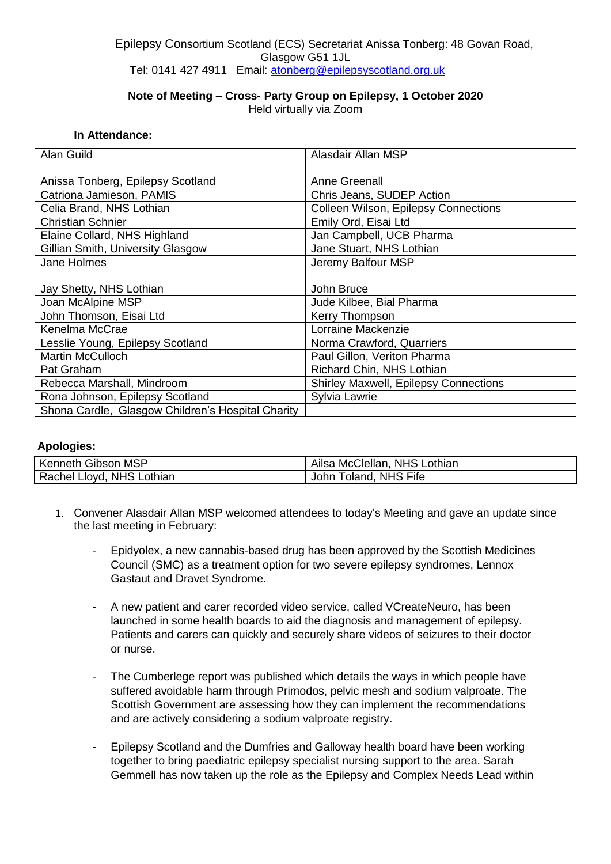## Epilepsy Consortium Scotland (ECS) Secretariat Anissa Tonberg: 48 Govan Road, Glasgow G51 1JL Tel: 0141 427 4911 Email: [atonberg@epilepsyscotland.org.uk](mailto:atonberg@epilepsyscotland.org.uk)

## **Note of Meeting – Cross- Party Group on Epilepsy, 1 October 2020**

Held virtually via Zoom

## **In Attendance:**

| <b>Alan Guild</b>                                 | Alasdair Allan MSP                          |
|---------------------------------------------------|---------------------------------------------|
| Anissa Tonberg, Epilepsy Scotland                 | Anne Greenall                               |
| Catriona Jamieson, PAMIS                          | Chris Jeans, SUDEP Action                   |
| Celia Brand, NHS Lothian                          | <b>Colleen Wilson, Epilepsy Connections</b> |
| <b>Christian Schnier</b>                          | Emily Ord, Eisai Ltd                        |
| Elaine Collard, NHS Highland                      | Jan Campbell, UCB Pharma                    |
| Gillian Smith, University Glasgow                 | Jane Stuart, NHS Lothian                    |
| Jane Holmes                                       | Jeremy Balfour MSP                          |
|                                                   |                                             |
| Jay Shetty, NHS Lothian                           | John Bruce                                  |
| Joan McAlpine MSP                                 | Jude Kilbee, Bial Pharma                    |
| John Thomson, Eisai Ltd                           | <b>Kerry Thompson</b>                       |
| Kenelma McCrae                                    | Lorraine Mackenzie                          |
| Lesslie Young, Epilepsy Scotland                  | Norma Crawford, Quarriers                   |
| <b>Martin McCulloch</b>                           | Paul Gillon, Veriton Pharma                 |
| Pat Graham                                        | Richard Chin, NHS Lothian                   |
| Rebecca Marshall, Mindroom                        | Shirley Maxwell, Epilepsy Connections       |
| Rona Johnson, Epilepsy Scotland                   | Sylvia Lawrie                               |
| Shona Cardle, Glasgow Children's Hospital Charity |                                             |

## **Apologies:**

| Kenneth Gibson MSP        | Ailsa McClellan, NHS Lothian |
|---------------------------|------------------------------|
| Rachel Lloyd, NHS Lothian | John Toland, NHS Fife        |

- 1. Convener Alasdair Allan MSP welcomed attendees to today's Meeting and gave an update since the last meeting in February:
	- Epidyolex, a new cannabis-based drug has been approved by the Scottish Medicines Council (SMC) as a treatment option for two severe epilepsy syndromes, Lennox Gastaut and Dravet Syndrome.
	- A new patient and carer recorded video service, called VCreateNeuro, has been launched in some health boards to aid the diagnosis and management of epilepsy. Patients and carers can quickly and securely share videos of seizures to their doctor or nurse.
	- The Cumberlege report was published which details the ways in which people have suffered avoidable harm through Primodos, pelvic mesh and sodium valproate. The Scottish Government are assessing how they can implement the recommendations and are actively considering a sodium valproate registry.
	- Epilepsy Scotland and the Dumfries and Galloway health board have been working together to bring paediatric epilepsy specialist nursing support to the area. Sarah Gemmell has now taken up the role as the Epilepsy and Complex Needs Lead within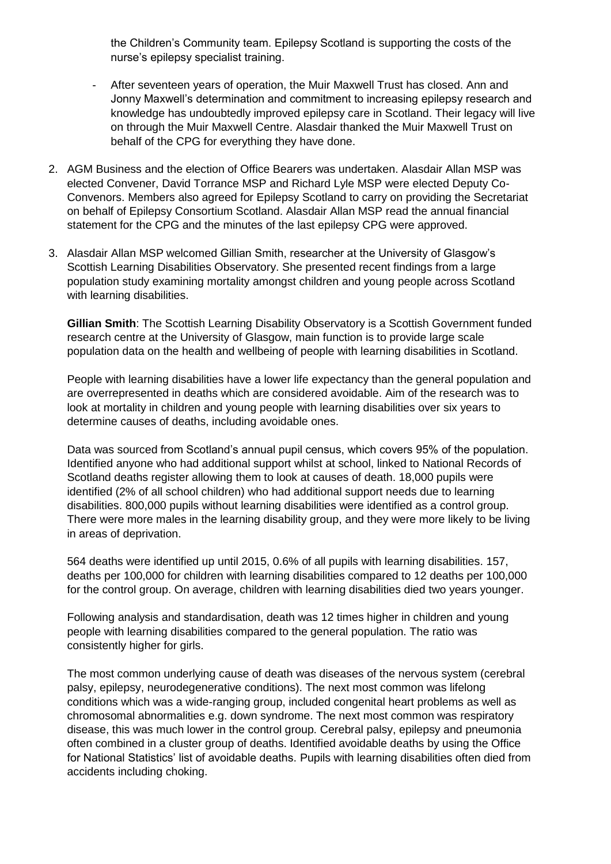the Children's Community team. Epilepsy Scotland is supporting the costs of the nurse's epilepsy specialist training.

- After seventeen years of operation, the Muir Maxwell Trust has closed. Ann and Jonny Maxwell's determination and commitment to increasing epilepsy research and knowledge has undoubtedly improved epilepsy care in Scotland. Their legacy will live on through the Muir Maxwell Centre. Alasdair thanked the Muir Maxwell Trust on behalf of the CPG for everything they have done.
- 2. AGM Business and the election of Office Bearers was undertaken. Alasdair Allan MSP was elected Convener, David Torrance MSP and Richard Lyle MSP were elected Deputy Co-Convenors. Members also agreed for Epilepsy Scotland to carry on providing the Secretariat on behalf of Epilepsy Consortium Scotland. Alasdair Allan MSP read the annual financial statement for the CPG and the minutes of the last epilepsy CPG were approved.
- 3. Alasdair Allan MSP welcomed Gillian Smith, researcher at the University of Glasgow's Scottish Learning Disabilities Observatory. She presented recent findings from a large population study examining mortality amongst children and young people across Scotland with learning disabilities.

**Gillian Smith**: The Scottish Learning Disability Observatory is a Scottish Government funded research centre at the University of Glasgow, main function is to provide large scale population data on the health and wellbeing of people with learning disabilities in Scotland.

People with learning disabilities have a lower life expectancy than the general population and are overrepresented in deaths which are considered avoidable. Aim of the research was to look at mortality in children and young people with learning disabilities over six years to determine causes of deaths, including avoidable ones.

Data was sourced from Scotland's annual pupil census, which covers 95% of the population. Identified anyone who had additional support whilst at school, linked to National Records of Scotland deaths register allowing them to look at causes of death. 18,000 pupils were identified (2% of all school children) who had additional support needs due to learning disabilities. 800,000 pupils without learning disabilities were identified as a control group. There were more males in the learning disability group, and they were more likely to be living in areas of deprivation.

564 deaths were identified up until 2015, 0.6% of all pupils with learning disabilities. 157, deaths per 100,000 for children with learning disabilities compared to 12 deaths per 100,000 for the control group. On average, children with learning disabilities died two years younger.

Following analysis and standardisation, death was 12 times higher in children and young people with learning disabilities compared to the general population. The ratio was consistently higher for girls.

The most common underlying cause of death was diseases of the nervous system (cerebral palsy, epilepsy, neurodegenerative conditions). The next most common was lifelong conditions which was a wide-ranging group, included congenital heart problems as well as chromosomal abnormalities e.g. down syndrome. The next most common was respiratory disease, this was much lower in the control group. Cerebral palsy, epilepsy and pneumonia often combined in a cluster group of deaths. Identified avoidable deaths by using the Office for National Statistics' list of avoidable deaths. Pupils with learning disabilities often died from accidents including choking.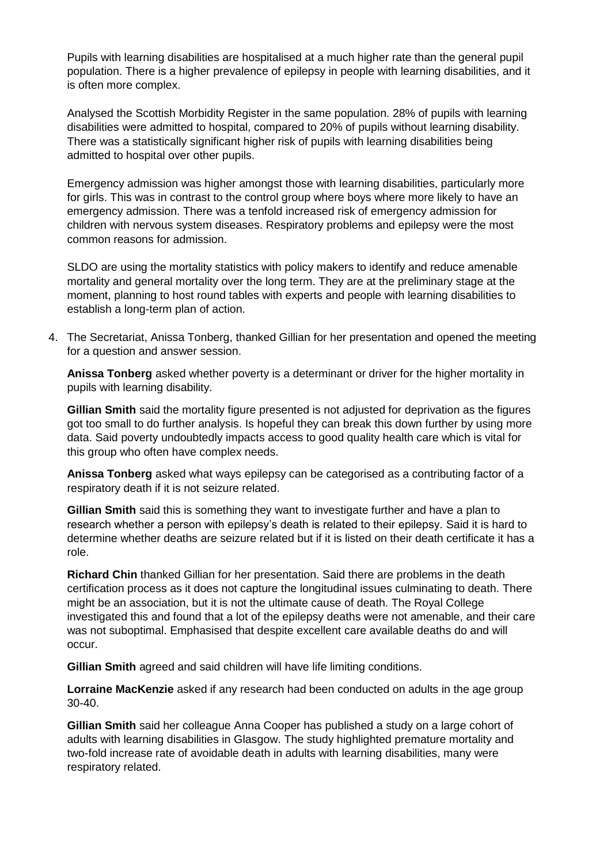Pupils with learning disabilities are hospitalised at a much higher rate than the general pupil population. There is a higher prevalence of epilepsy in people with learning disabilities, and it is often more complex.

Analysed the Scottish Morbidity Register in the same population. 28% of pupils with learning disabilities were admitted to hospital, compared to 20% of pupils without learning disability. There was a statistically significant higher risk of pupils with learning disabilities being admitted to hospital over other pupils.

Emergency admission was higher amongst those with learning disabilities, particularly more for girls. This was in contrast to the control group where boys where more likely to have an emergency admission. There was a tenfold increased risk of emergency admission for children with nervous system diseases. Respiratory problems and epilepsy were the most common reasons for admission.

SLDO are using the mortality statistics with policy makers to identify and reduce amenable mortality and general mortality over the long term. They are at the preliminary stage at the moment, planning to host round tables with experts and people with learning disabilities to establish a long-term plan of action.

4. The Secretariat, Anissa Tonberg, thanked Gillian for her presentation and opened the meeting for a question and answer session.

**Anissa Tonberg** asked whether poverty is a determinant or driver for the higher mortality in pupils with learning disability.

**Gillian Smith** said the mortality figure presented is not adjusted for deprivation as the figures got too small to do further analysis. Is hopeful they can break this down further by using more data. Said poverty undoubtedly impacts access to good quality health care which is vital for this group who often have complex needs.

**Anissa Tonberg** asked what ways epilepsy can be categorised as a contributing factor of a respiratory death if it is not seizure related.

**Gillian Smith** said this is something they want to investigate further and have a plan to research whether a person with epilepsy's death is related to their epilepsy. Said it is hard to determine whether deaths are seizure related but if it is listed on their death certificate it has a role.

**Richard Chin** thanked Gillian for her presentation. Said there are problems in the death certification process as it does not capture the longitudinal issues culminating to death. There might be an association, but it is not the ultimate cause of death. The Royal College investigated this and found that a lot of the epilepsy deaths were not amenable, and their care was not suboptimal. Emphasised that despite excellent care available deaths do and will occur.

**Gillian Smith** agreed and said children will have life limiting conditions.

**Lorraine MacKenzie** asked if any research had been conducted on adults in the age group 30-40.

**Gillian Smith** said her colleague Anna Cooper has published a study on a large cohort of adults with learning disabilities in Glasgow. The study highlighted premature mortality and two-fold increase rate of avoidable death in adults with learning disabilities, many were respiratory related.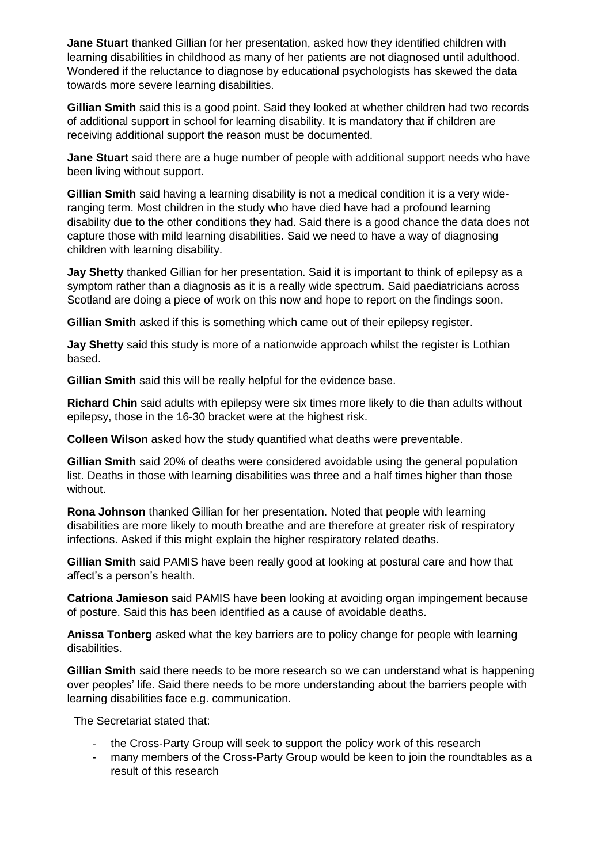**Jane Stuart** thanked Gillian for her presentation, asked how they identified children with learning disabilities in childhood as many of her patients are not diagnosed until adulthood. Wondered if the reluctance to diagnose by educational psychologists has skewed the data towards more severe learning disabilities.

**Gillian Smith** said this is a good point. Said they looked at whether children had two records of additional support in school for learning disability. It is mandatory that if children are receiving additional support the reason must be documented.

**Jane Stuart** said there are a huge number of people with additional support needs who have been living without support.

**Gillian Smith** said having a learning disability is not a medical condition it is a very wideranging term. Most children in the study who have died have had a profound learning disability due to the other conditions they had. Said there is a good chance the data does not capture those with mild learning disabilities. Said we need to have a way of diagnosing children with learning disability.

**Jay Shetty** thanked Gillian for her presentation. Said it is important to think of epilepsy as a symptom rather than a diagnosis as it is a really wide spectrum. Said paediatricians across Scotland are doing a piece of work on this now and hope to report on the findings soon.

**Gillian Smith** asked if this is something which came out of their epilepsy register.

**Jay Shetty** said this study is more of a nationwide approach whilst the register is Lothian based.

**Gillian Smith** said this will be really helpful for the evidence base.

**Richard Chin** said adults with epilepsy were six times more likely to die than adults without epilepsy, those in the 16-30 bracket were at the highest risk.

**Colleen Wilson** asked how the study quantified what deaths were preventable.

**Gillian Smith** said 20% of deaths were considered avoidable using the general population list. Deaths in those with learning disabilities was three and a half times higher than those without.

**Rona Johnson** thanked Gillian for her presentation. Noted that people with learning disabilities are more likely to mouth breathe and are therefore at greater risk of respiratory infections. Asked if this might explain the higher respiratory related deaths.

**Gillian Smith** said PAMIS have been really good at looking at postural care and how that affect's a person's health.

**Catriona Jamieson** said PAMIS have been looking at avoiding organ impingement because of posture. Said this has been identified as a cause of avoidable deaths.

**Anissa Tonberg** asked what the key barriers are to policy change for people with learning disabilities.

**Gillian Smith** said there needs to be more research so we can understand what is happening over peoples' life. Said there needs to be more understanding about the barriers people with learning disabilities face e.g. communication.

The Secretariat stated that:

- the Cross-Party Group will seek to support the policy work of this research
- many members of the Cross-Party Group would be keen to join the roundtables as a result of this research